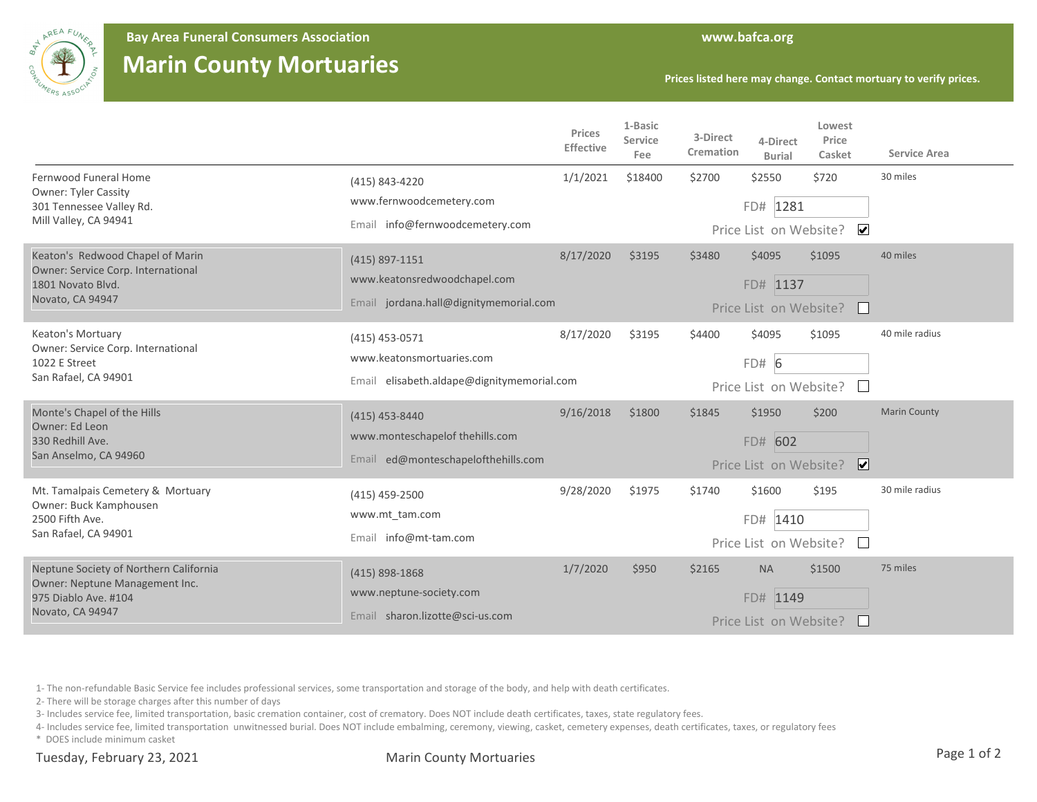

**Bay Area Funeral Consumers Association www.bafca.org**

## **Marin County Mortuaries**

**Prices listed here may change. Contact mortuary to verify prices.**

|                                                                                                                      |                                                                                            | Prices<br>Effective    | 1-Basic<br>Service<br>Fee | 3-Direct<br>Cremation | 4-Direct<br><b>Burial</b>                       | Lowest<br>Price<br>Casket        | <b>Service Area</b> |
|----------------------------------------------------------------------------------------------------------------------|--------------------------------------------------------------------------------------------|------------------------|---------------------------|-----------------------|-------------------------------------------------|----------------------------------|---------------------|
| Fernwood Funeral Home<br><b>Owner: Tyler Cassity</b><br>301 Tennessee Valley Rd.<br>Mill Valley, CA 94941            | (415) 843-4220<br>www.fernwoodcemetery.com                                                 | 1/1/2021               | \$18400                   | \$2700                | \$2550                                          | \$720                            | 30 miles            |
|                                                                                                                      | Email info@fernwoodcemetery.com                                                            | Price List on Website? |                           |                       | FD# 1281                                        | $\blacktriangledown$             |                     |
| Keaton's Redwood Chapel of Marin<br>Owner: Service Corp. International<br>1801 Novato Blvd.<br>Novato, CA 94947      | $(415)$ 897-1151<br>www.keatonsredwoodchapel.com<br>Email jordana.hall@dignitymemorial.com | 8/17/2020              | \$3195                    | \$3480                | \$4095<br>FD# 1137<br>Price List on Website?    | \$1095<br>$\mathbf{L}$           | 40 miles            |
| Keaton's Mortuary<br>Owner: Service Corp. International<br>1022 E Street<br>San Rafael, CA 94901                     | (415) 453-0571<br>www.keatonsmortuaries.com<br>Email elisabeth.aldape@dignitymemorial.com  | 8/17/2020              | \$3195                    | \$4400                | \$4095<br>FD# 6<br>Price List on Website?       | \$1095                           | 40 mile radius      |
| Monte's Chapel of the Hills<br>Owner: Ed Leon<br>330 Redhill Ave.<br>San Anselmo, CA 94960                           | $(415)$ 453-8440<br>www.monteschapelof thehills.com<br>Email ed@monteschapelofthehills.com | 9/16/2018              | \$1800                    | \$1845                | \$1950<br>FD# 602<br>Price List on Website?     | \$200<br>$\overline{\mathbf{v}}$ | <b>Marin County</b> |
| Mt. Tamalpais Cemetery & Mortuary<br>Owner: Buck Kamphousen<br>2500 Fifth Ave.<br>San Rafael, CA 94901               | (415) 459-2500<br>www.mt tam.com<br>Email info@mt-tam.com                                  | 9/28/2020              | \$1975                    | \$1740                | \$1600<br>FD# 1410<br>Price List on Website?    | \$195<br>$\mathbf{L}$            | 30 mile radius      |
| Neptune Society of Northern California<br>Owner: Neptune Management Inc.<br>975 Diablo Ave. #104<br>Novato, CA 94947 | $(415)$ 898-1868<br>www.neptune-society.com<br>Email sharon.lizotte@sci-us.com             | 1/7/2020               | \$950                     | \$2165                | <b>NA</b><br>FD# 1149<br>Price List on Website? | \$1500                           | 75 miles            |

1- The non-refundable Basic Service fee includes professional services, some transportation and storage of the body, and help with death certificates.

2- There will be storage charges after this number of days

3- Includes service fee, limited transportation, basic cremation container, cost of crematory. Does NOT include death certificates, taxes, state regulatory fees.

4- Includes service fee, limited transportation unwitnessed burial. Does NOT include embalming, ceremony, viewing, casket, cemetery expenses, death certificates, taxes, or regulatory fees

\* DOES include minimum casket